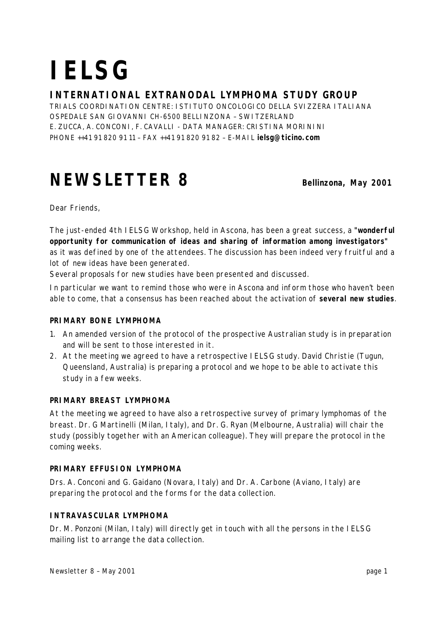# **IELSG**

### **INTERNATIONAL EXTRANODAL LYMPHOMA STUDY GROUP**

TRIALS COORDINATION CENTRE: ISTITUTO ONCOLOGICO DELLA SVIZZERA ITALIANA OSPEDALE SAN GIOVANNI CH-6500 BELLINZONA – SWITZERLAND E. ZUCCA, A. CONCONI, F. CAVALLI - DATA MANAGER: CRISTINA MORININI PHONE ++41 91 820 91 11 – FAX ++41 91 820 91 82 – E-MAIL **ielsg@ticino.com**

## **NEWSLETTER 8 Bellinzona**, May 2001

*Dear Friends,*

*The just-ended 4th IELSG Workshop, held in Ascona, has been a great success, a "wonderful opportunity for communication of ideas and sharing of information among investigators" as it was defined by one of the attendees. The discussion has been indeed very fruitful and a lot of new ideas have been generated.*

*Several proposals for new studies have been presented and discussed.*

*In particular we want to remind those who were in Ascona and inform those who haven't been* able to come, that a consensus has been reached about the activation of **several new studies**.

#### **PRIMARY BONE LYMPHOMA**

- 1. An amended version of the protocol of the prospective Australian study is in preparation and will be sent to those interested in it.
- 2. At the meeting we agreed to have a retrospective IELSG study. David Christie (Tugun, Queensland, Australia) is preparing a protocol and we hope to be able to activate this study in a few weeks.

#### **PRIMARY BREAST LYMPHOMA**

At the meeting we agreed to have also a retrospective survey of primary lymphomas of the breast. Dr. G Martinelli (Milan, Italy), and Dr. G. Ryan (Melbourne, Australia) will chair the study (possibly together with an American colleague). They will prepare the protocol in the coming weeks.

#### **PRIMARY EFFUSION LYMPHOMA**

Drs. A. Conconi and G. Gaidano (Novara, Italy) and Dr. A. Carbone (Aviano, Italy) are preparing the protocol and the forms for the data collection.

#### **INTRAVASCULAR LYMPHOMA**

Dr. M. Ponzoni (Milan, Italy) will directly get in touch with all the persons in the IELSG mailing list to arrange the data collection.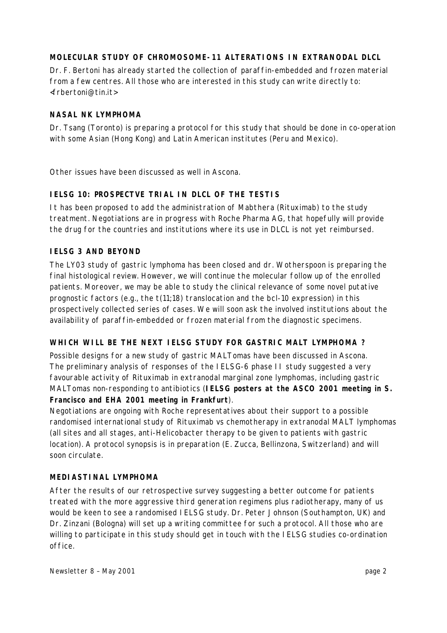#### **MOLECULAR STUDY OF CHROMOSOME-11 ALTERATIONS IN EXTRANODAL DLCL**

Dr. F. Bertoni has already started the collection of paraffin-embedded and frozen material from a few centres. All those who are interested in this study can write directly to: <frbertoni@tin.it>

#### **NASAL NK LYMPHOMA**

Dr. Tsang (Toronto) is preparing a protocol for this study that should be done in co-operation with some Asian (Hong Kong) and Latin American institutes (Peru and Mexico).

*Other issues have been discussed as well in Ascona.*

#### **IELSG 10: PROSPECTVE TRIAL IN DLCL OF THE TESTIS**

It has been proposed to add the administration of Mabthera (Rituximab) to the study treatment. Negotiations are in progress with Roche Pharma AG, that hopefully will provide the drug for the countries and institutions where its use in DLCL is not yet reimbursed.

#### **IELSG 3 AND BEYOND**

The LY03 study of gastric lymphoma has been closed and dr. Wotherspoon is preparing the final histological review. However, we will continue the molecular follow up of the enrolled patients. Moreover, we may be able to study the clinical relevance of some novel putative prognostic factors (e.g., the t(11;18) translocation and the bcl-10 expression) in this prospectively collected series of cases. We will soon ask the involved institutions about the availability of paraffin-embedded or frozen material from the diagnostic specimens.

#### **WHICH WILL BE THE NEXT IELSG STUDY FOR GASTRIC MALT LYMPHOMA ?**

Possible designs for a new study of gastric MALTomas have been discussed in Ascona. The preliminary analysis of responses of the IELSG-6 phase II study suggested a very favourable activity of Rituximab in extranodal marginal zone lymphomas, including gastric MALTomas non-responding to antibiotics (**IELSG posters at the ASCO 2001 meeting in S. Francisco and EHA 2001 meeting in Frankfurt**).

Negotiations are ongoing with Roche representatives about their support to a possible randomised international study of Rituximab vs chemotherapy in extranodal MALT lymphomas (all sites and all stages, anti-*Helicobacter* therapy to be given to patients with gastric location). A protocol synopsis is in preparation (E. Zucca, Bellinzona, Switzerland) and will soon circulate.

#### **MEDIASTINAL LYMPHOMA**

After the results of our retrospective survey suggesting a better outcome for patients treated with the more aggressive third generation regimens plus radiotherapy, many of us would be keen to see a randomised IELSG study. Dr. Peter Johnson (Southampton, UK) and Dr. Zinzani (Bologna) will set up a writing committee for such a protocol. All those who are willing to participate in this study should get in touch with the IELSG studies co-ordination office.